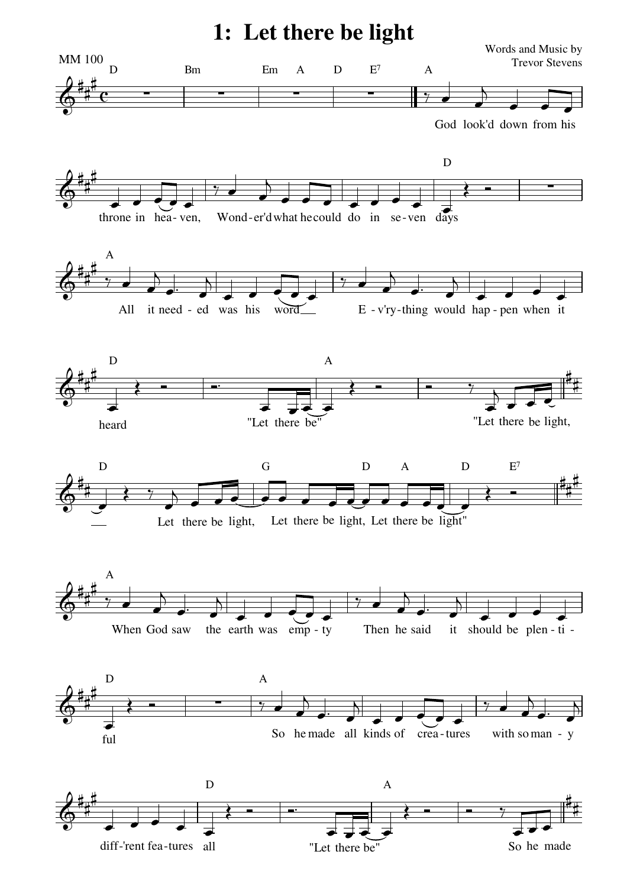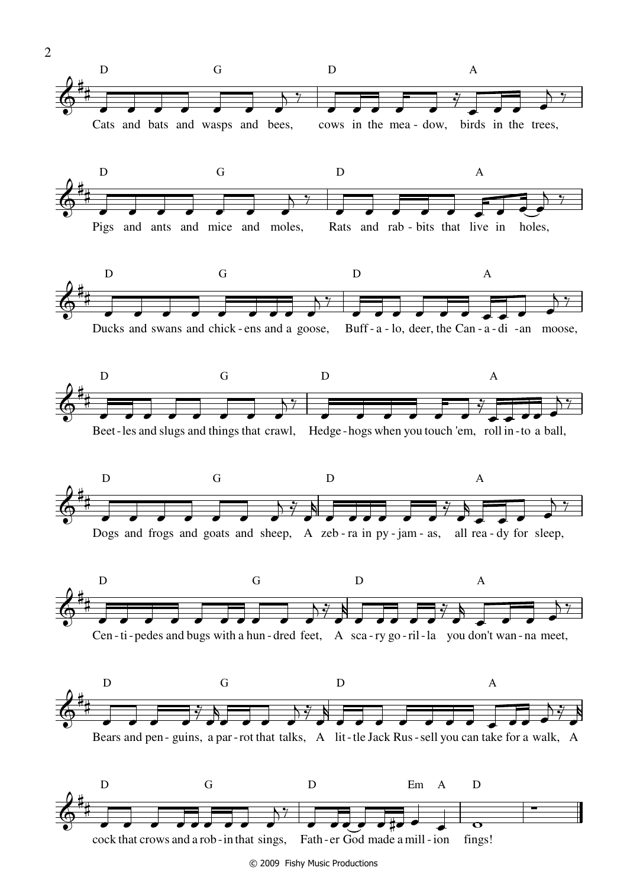

<sup>© 2009</sup> Fishy Music Productions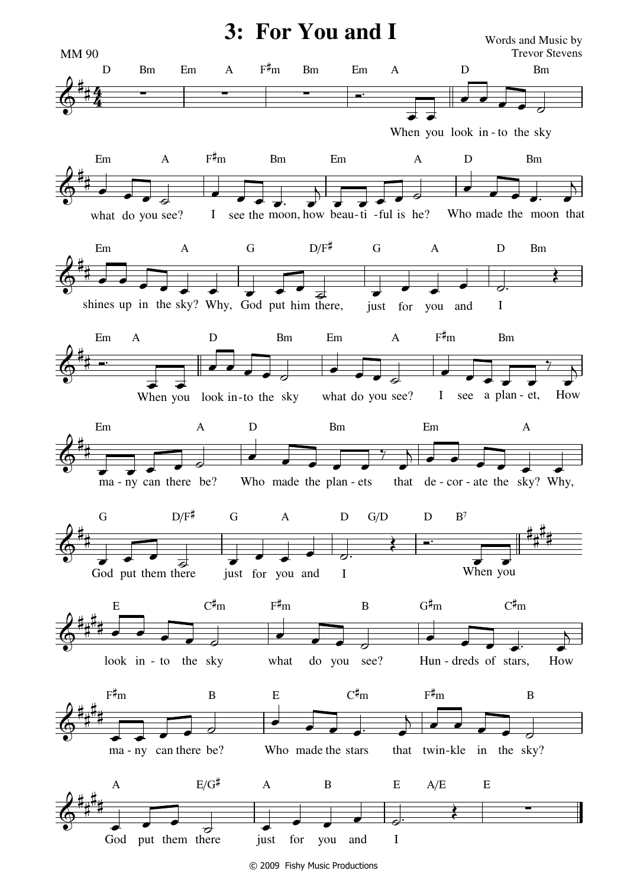

© 2009 Fishy Music Productions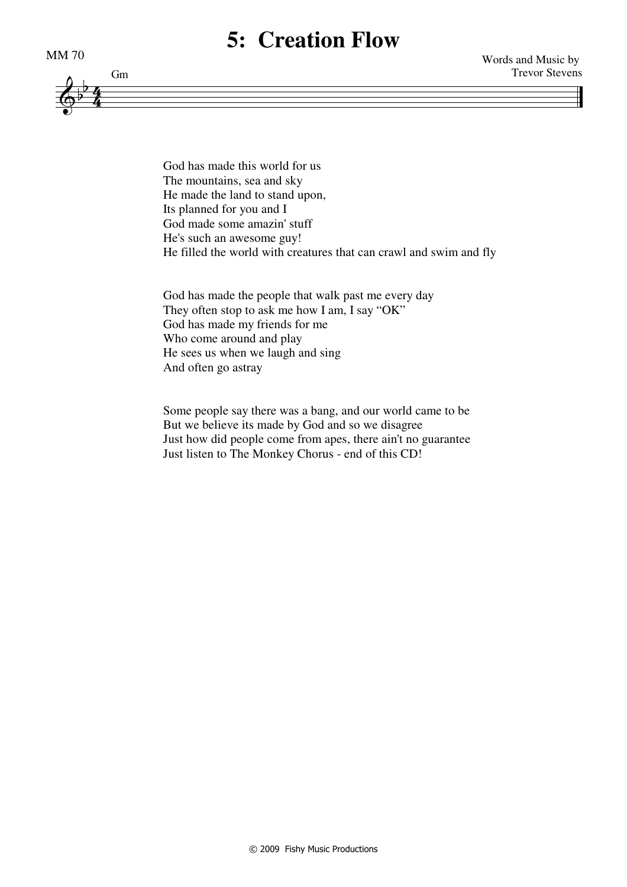## **5: Creation Flow**





God has made this world for us The mountains, sea and sky He made the land to stand upon, Its planned for you and I God made some amazin' stuff He's such an awesome guy! He filled the world with creatures that can crawl and swim and fly

God has made the people that walk past me every day They often stop to ask me how I am, I say "OK" God has made my friends for me Who come around and play He sees us when we laugh and sing And often go astray

Some people say there was a bang, and our world came to be But we believe its made by God and so we disagree Just how did people come from apes, there ain't no guarantee Just listen to The Monkey Chorus - end of this CD!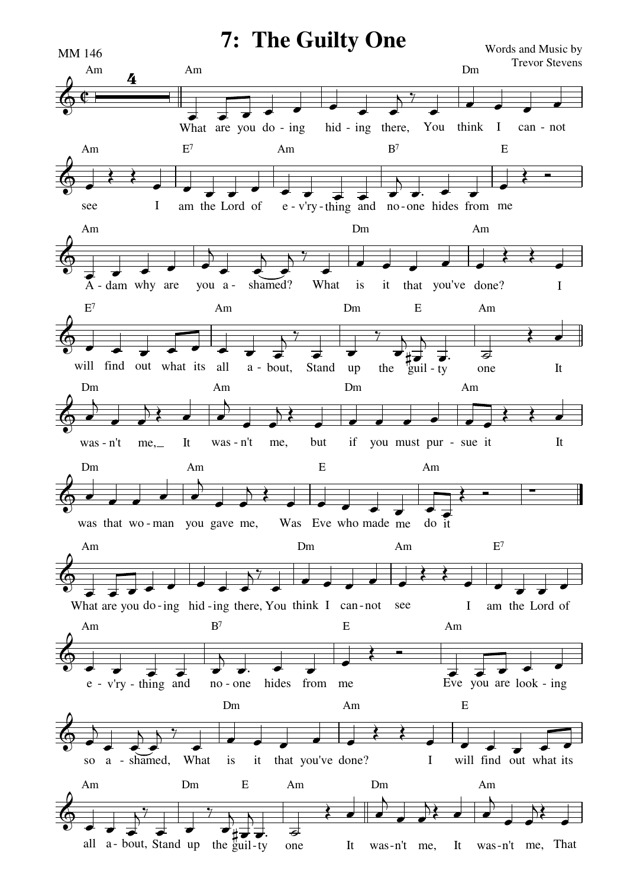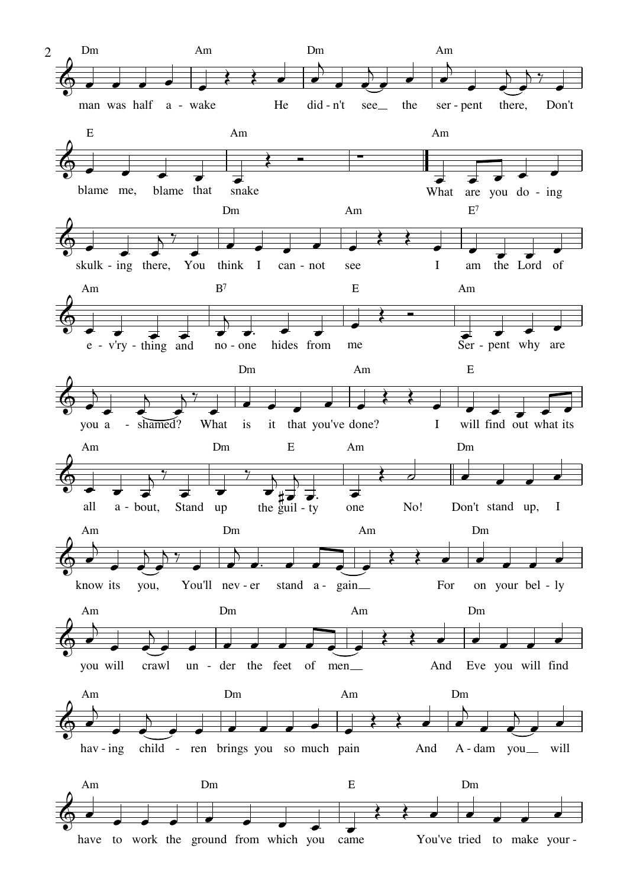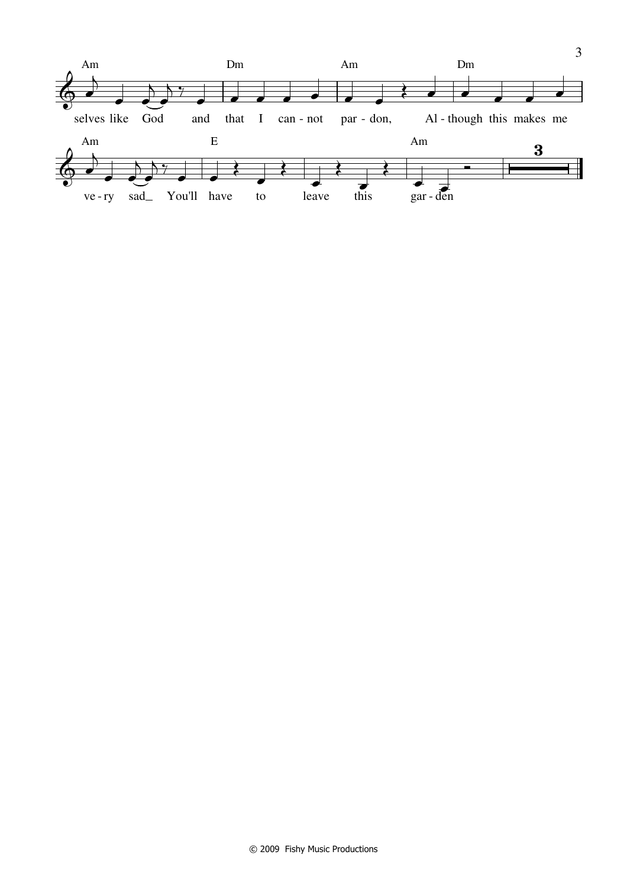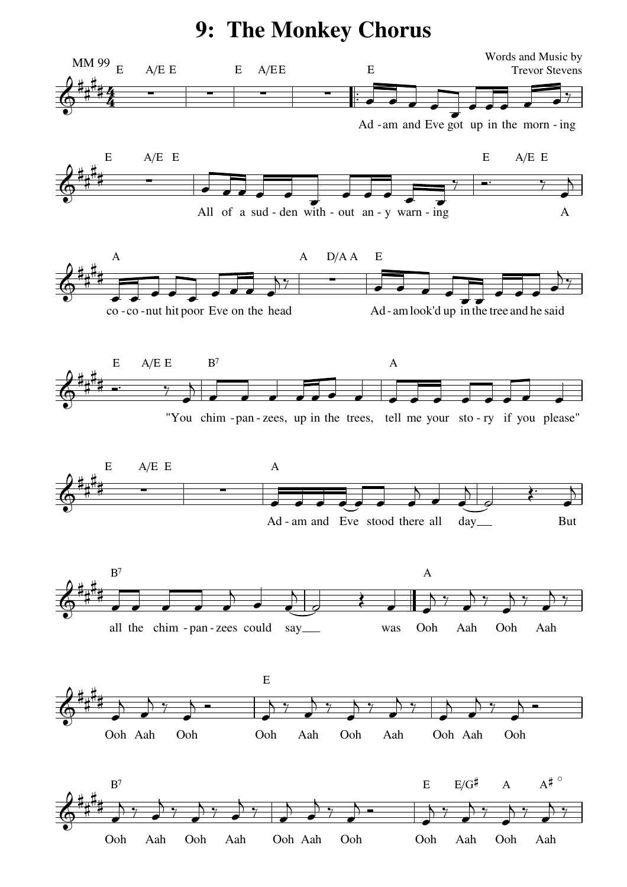**9: The Monkey Chorus**